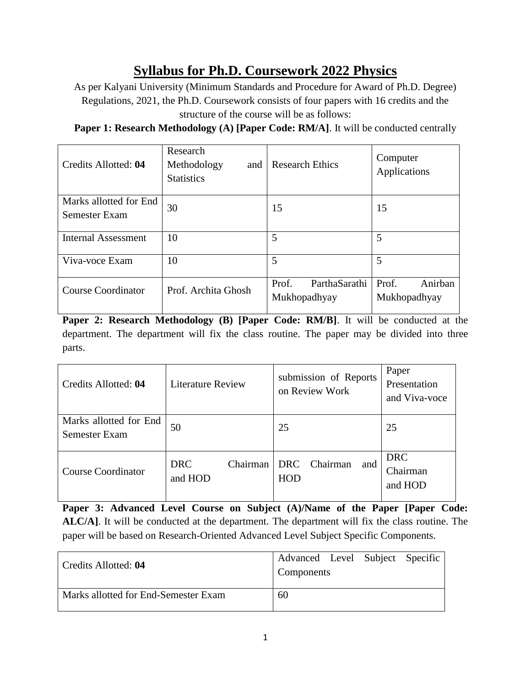# **Syllabus for Ph.D. Coursework 2022 Physics**

As per Kalyani University (Minimum Standards and Procedure for Award of Ph.D. Degree) Regulations, 2021, the Ph.D. Coursework consists of four papers with 16 credits and the structure of the course will be as follows:

**Paper 1: Research Methodology (A) [Paper Code: RM/A].** It will be conducted centrally

| Credits Allotted: 04                    | Research<br>Methodology<br>and<br><b>Statistics</b> | <b>Research Ethics</b>                 | Computer<br>Applications         |
|-----------------------------------------|-----------------------------------------------------|----------------------------------------|----------------------------------|
| Marks allotted for End<br>Semester Exam | 30                                                  | 15                                     | 15                               |
| <b>Internal Assessment</b>              | 10                                                  | 5                                      | 5                                |
| Viva-voce Exam                          | 10                                                  | 5                                      | 5                                |
| <b>Course Coordinator</b>               | Prof. Archita Ghosh                                 | ParthaSarathi<br>Prof.<br>Mukhopadhyay | Anirban<br>Prof.<br>Mukhopadhyay |

**Paper 2: Research Methodology (B) [Paper Code: RM/B]**. It will be conducted at the department. The department will fix the class routine. The paper may be divided into three parts.

| Credits Allotted: 04                    | <b>Literature Review</b>          | submission of Reports<br>on Review Work | Paper<br>Presentation<br>and Viva-voce |
|-----------------------------------------|-----------------------------------|-----------------------------------------|----------------------------------------|
| Marks allotted for End<br>Semester Exam | 50                                | 25                                      | 25                                     |
| <b>Course Coordinator</b>               | Chairman<br><b>DRC</b><br>and HOD | Chairman<br>DRC<br>and<br><b>HOD</b>    | <b>DRC</b><br>Chairman<br>and HOD      |

**Paper 3: Advanced Level Course on Subject (A)/Name of the Paper [Paper Code: ALC/A]**. It will be conducted at the department. The department will fix the class routine. The paper will be based on Research-Oriented Advanced Level Subject Specific Components.

| Credits Allotted: 04                 | Advanced Level Subject Specific<br>Components |  |  |
|--------------------------------------|-----------------------------------------------|--|--|
| Marks allotted for End-Semester Exam | 60                                            |  |  |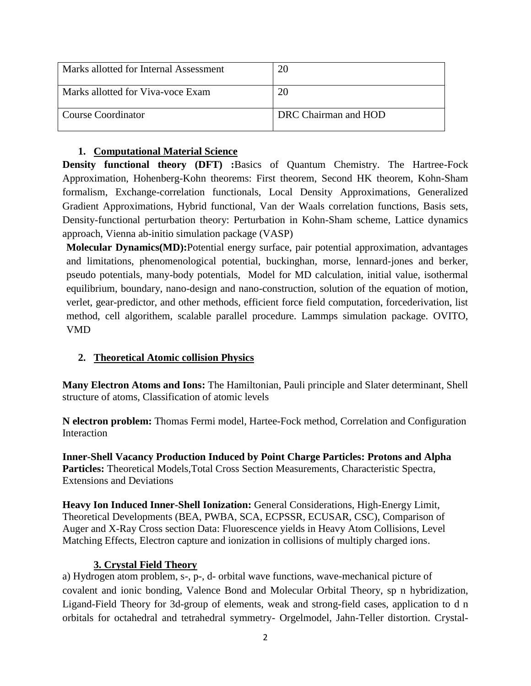| Marks allotted for Internal Assessment |                      |
|----------------------------------------|----------------------|
| Marks allotted for Viva-voce Exam      |                      |
| Course Coordinator                     | DRC Chairman and HOD |

### **1. Computational Material Science**

**Density functional theory (DFT) :**Basics of Quantum Chemistry. The Hartree-Fock Approximation, Hohenberg-Kohn theorems: First theorem, Second HK theorem, Kohn-Sham formalism, Exchange-correlation functionals, Local Density Approximations, Generalized Gradient Approximations, Hybrid functional, Van der Waals correlation functions, Basis sets, Density-functional perturbation theory: Perturbation in Kohn-Sham scheme, Lattice dynamics approach, Vienna ab-initio simulation package (VASP)

**Molecular Dynamics(MD):**Potential energy surface, pair potential approximation, advantages and limitations, phenomenological potential, buckinghan, morse, lennard-jones and berker, pseudo potentials, many-body potentials, Model for MD calculation, initial value, isothermal equilibrium, boundary, nano-design and nano-construction, solution of the equation of motion, verlet, gear-predictor, and other methods, efficient force field computation, forcederivation, list method, cell algorithem, scalable parallel procedure. Lammps simulation package. OVITO, VMD

## **2. Theoretical Atomic collision Physics**

**Many Electron Atoms and Ions:** The Hamiltonian, Pauli principle and Slater determinant, Shell structure of atoms, Classification of atomic levels

**N electron problem:** Thomas Fermi model, Hartee-Fock method, Correlation and Configuration Interaction

**Inner-Shell Vacancy Production Induced by Point Charge Particles: Protons and Alpha Particles:** Theoretical Models,Total Cross Section Measurements, Characteristic Spectra, Extensions and Deviations

**Heavy Ion Induced Inner-Shell Ionization:** General Considerations, High-Energy Limit, Theoretical Developments (BEA, PWBA, SCA, ECPSSR, ECUSAR, CSC), Comparison of Auger and X-Ray Cross section Data: Fluorescence yields in Heavy Atom Collisions, Level Matching Effects, Electron capture and ionization in collisions of multiply charged ions.

#### **3. Crystal Field Theory**

a) Hydrogen atom problem, s-, p-, d- orbital wave functions, wave-mechanical picture of covalent and ionic bonding, Valence Bond and Molecular Orbital Theory, sp n hybridization, Ligand-Field Theory for 3d-group of elements, weak and strong-field cases, application to d n orbitals for octahedral and tetrahedral symmetry- Orgelmodel, Jahn-Teller distortion. Crystal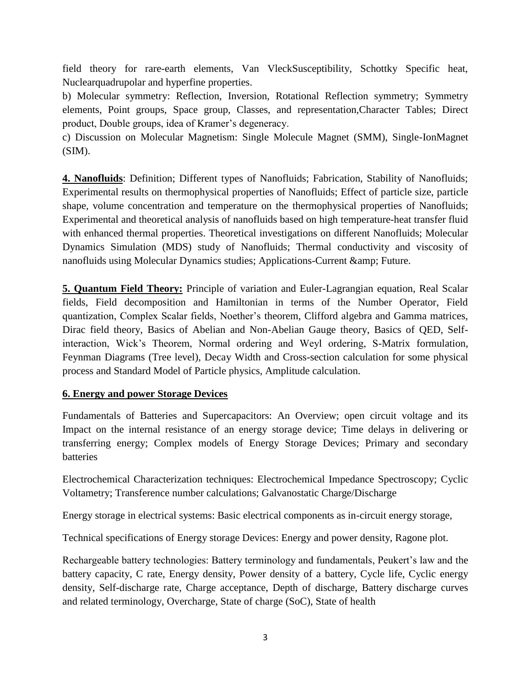field theory for rare-earth elements, Van VleckSusceptibility, Schottky Specific heat, Nuclearquadrupolar and hyperfine properties.

b) Molecular symmetry: Reflection, Inversion, Rotational Reflection symmetry; Symmetry elements, Point groups, Space group, Classes, and representation,Character Tables; Direct product, Double groups, idea of Kramer's degeneracy.

c) Discussion on Molecular Magnetism: Single Molecule Magnet (SMM), Single-IonMagnet  $(SIM)$ .

**4. Nanofluids**: Definition; Different types of Nanofluids; Fabrication, Stability of Nanofluids; Experimental results on thermophysical properties of Nanofluids; Effect of particle size, particle shape, volume concentration and temperature on the thermophysical properties of Nanofluids; Experimental and theoretical analysis of nanofluids based on high temperature-heat transfer fluid with enhanced thermal properties. Theoretical investigations on different Nanofluids; Molecular Dynamics Simulation (MDS) study of Nanofluids; Thermal conductivity and viscosity of nanofluids using Molecular Dynamics studies; Applications-Current & amp; Future.

**5. Quantum Field Theory:** Principle of variation and Euler-Lagrangian equation, Real Scalar fields, Field decomposition and Hamiltonian in terms of the Number Operator, Field quantization, Complex Scalar fields, Noether's theorem, Clifford algebra and Gamma matrices, Dirac field theory, Basics of Abelian and Non-Abelian Gauge theory, Basics of QED, Selfinteraction, Wick's Theorem, Normal ordering and Weyl ordering, S-Matrix formulation, Feynman Diagrams (Tree level), Decay Width and Cross-section calculation for some physical process and Standard Model of Particle physics, Amplitude calculation.

#### **6. Energy and power Storage Devices**

Fundamentals of Batteries and Supercapacitors: An Overview; open circuit voltage and its Impact on the internal resistance of an energy storage device; Time delays in delivering or transferring energy; Complex models of Energy Storage Devices; Primary and secondary batteries

Electrochemical Characterization techniques: Electrochemical Impedance Spectroscopy; Cyclic Voltametry; Transference number calculations; Galvanostatic Charge/Discharge

Energy storage in electrical systems: Basic electrical components as in-circuit energy storage,

Technical specifications of Energy storage Devices: Energy and power density, Ragone plot.

Rechargeable battery technologies: Battery terminology and fundamentals, Peukert's law and the battery capacity, C rate, Energy density, Power density of a battery, Cycle life, Cyclic energy density, Self-discharge rate, Charge acceptance, Depth of discharge, Battery discharge curves and related terminology, Overcharge, State of charge (SoC), State of health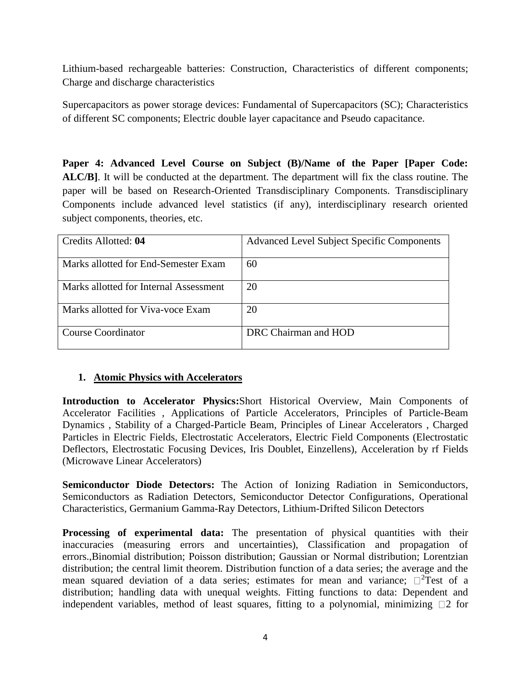Lithium-based rechargeable batteries: Construction, Characteristics of different components; Charge and discharge characteristics

Supercapacitors as power storage devices: Fundamental of Supercapacitors (SC); Characteristics of different SC components; Electric double layer capacitance and Pseudo capacitance.

**Paper 4: Advanced Level Course on Subject (B)/Name of the Paper [Paper Code: ALC/B]**. It will be conducted at the department. The department will fix the class routine. The paper will be based on Research-Oriented Transdisciplinary Components. Transdisciplinary Components include advanced level statistics (if any), interdisciplinary research oriented subject components, theories, etc.

| Credits Allotted: 04                   | <b>Advanced Level Subject Specific Components</b> |
|----------------------------------------|---------------------------------------------------|
| Marks allotted for End-Semester Exam   | 60                                                |
| Marks allotted for Internal Assessment | 20                                                |
| Marks allotted for Viva-voce Exam      | 20                                                |
| Course Coordinator                     | DRC Chairman and HOD                              |

#### **1. Atomic Physics with Accelerators**

**Introduction to Accelerator Physics:**Short Historical Overview, Main Components of Accelerator Facilities , Applications of Particle Accelerators, Principles of Particle-Beam Dynamics , Stability of a Charged-Particle Beam, Principles of Linear Accelerators , Charged Particles in Electric Fields, Electrostatic Accelerators, Electric Field Components (Electrostatic Deflectors, Electrostatic Focusing Devices, Iris Doublet, Einzellens), Acceleration by rf Fields (Microwave Linear Accelerators)

**Semiconductor Diode Detectors:** The Action of Ionizing Radiation in Semiconductors, Semiconductors as Radiation Detectors, Semiconductor Detector Configurations, Operational Characteristics, Germanium Gamma-Ray Detectors, Lithium-Drifted Silicon Detectors

**Processing of experimental data:** The presentation of physical quantities with their inaccuracies (measuring errors and uncertainties), Classification and propagation of errors.,Binomial distribution; Poisson distribution; Gaussian or Normal distribution; Lorentzian distribution; the central limit theorem. Distribution function of a data series; the average and the mean squared deviation of a data series; estimates for mean and variance;  $\square^2$ Test of a distribution; handling data with unequal weights. Fitting functions to data: Dependent and independent variables, method of least squares, fitting to a polynomial, minimizing  $\square$  2 for